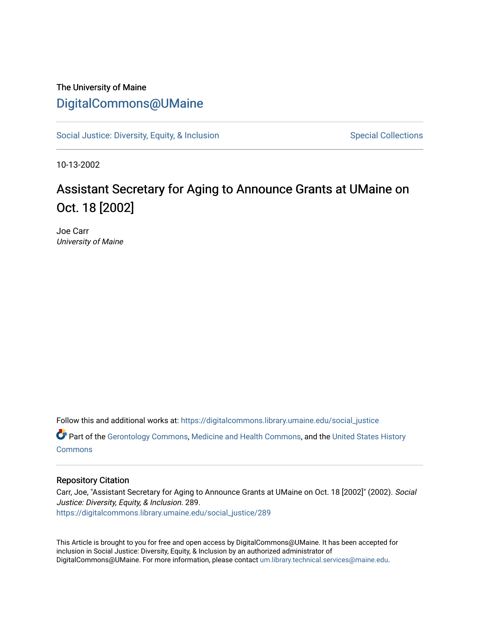## The University of Maine [DigitalCommons@UMaine](https://digitalcommons.library.umaine.edu/)

[Social Justice: Diversity, Equity, & Inclusion](https://digitalcommons.library.umaine.edu/social_justice) [Special Collections](https://digitalcommons.library.umaine.edu/specialcollections) Special Collections

10-13-2002

## Assistant Secretary for Aging to Announce Grants at UMaine on Oct. 18 [2002]

Joe Carr University of Maine

Follow this and additional works at: [https://digitalcommons.library.umaine.edu/social\\_justice](https://digitalcommons.library.umaine.edu/social_justice?utm_source=digitalcommons.library.umaine.edu%2Fsocial_justice%2F289&utm_medium=PDF&utm_campaign=PDFCoverPages) 

Part of the [Gerontology Commons,](http://network.bepress.com/hgg/discipline/1276?utm_source=digitalcommons.library.umaine.edu%2Fsocial_justice%2F289&utm_medium=PDF&utm_campaign=PDFCoverPages) [Medicine and Health Commons](http://network.bepress.com/hgg/discipline/422?utm_source=digitalcommons.library.umaine.edu%2Fsocial_justice%2F289&utm_medium=PDF&utm_campaign=PDFCoverPages), and the [United States History](http://network.bepress.com/hgg/discipline/495?utm_source=digitalcommons.library.umaine.edu%2Fsocial_justice%2F289&utm_medium=PDF&utm_campaign=PDFCoverPages)  **[Commons](http://network.bepress.com/hgg/discipline/495?utm_source=digitalcommons.library.umaine.edu%2Fsocial_justice%2F289&utm_medium=PDF&utm_campaign=PDFCoverPages)** 

## Repository Citation

Carr, Joe, "Assistant Secretary for Aging to Announce Grants at UMaine on Oct. 18 [2002]" (2002). Social Justice: Diversity, Equity, & Inclusion. 289. [https://digitalcommons.library.umaine.edu/social\\_justice/289](https://digitalcommons.library.umaine.edu/social_justice/289?utm_source=digitalcommons.library.umaine.edu%2Fsocial_justice%2F289&utm_medium=PDF&utm_campaign=PDFCoverPages) 

This Article is brought to you for free and open access by DigitalCommons@UMaine. It has been accepted for inclusion in Social Justice: Diversity, Equity, & Inclusion by an authorized administrator of DigitalCommons@UMaine. For more information, please contact [um.library.technical.services@maine.edu](mailto:um.library.technical.services@maine.edu).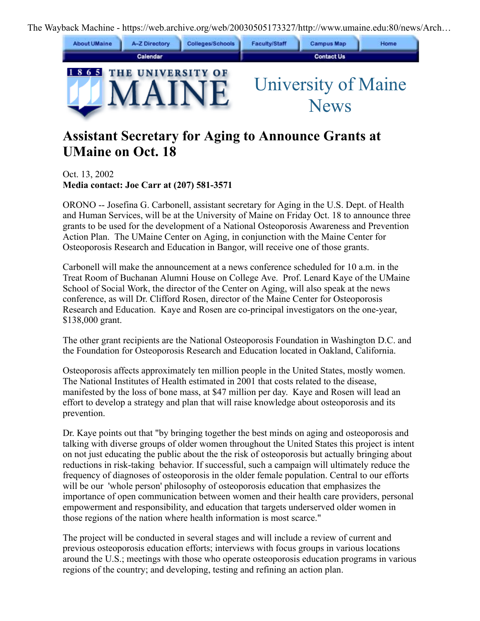The Wayback Machine - https://web.archive.org/web/20030505173327/http://www.umaine.edu:80/news/Arch…



## **Assistant Secretary for Aging to Announce Grants at UMaine on Oct. 18**

Oct. 13, 2002 **Media contact: Joe Carr at (207) 581-3571**

ORONO -- Josefina G. Carbonell, assistant secretary for Aging in the U.S. Dept. of Health and Human Services, will be at the University of Maine on Friday Oct. 18 to announce three grants to be used for the development of a National Osteoporosis Awareness and Prevention Action Plan. The UMaine Center on Aging, in conjunction with the Maine Center for Osteoporosis Research and Education in Bangor, will receive one of those grants.

Carbonell will make the announcement at a news conference scheduled for 10 a.m. in the Treat Room of Buchanan Alumni House on College Ave. Prof. Lenard Kaye of the UMaine School of Social Work, the director of the Center on Aging, will also speak at the news conference, as will Dr. Clifford Rosen, director of the Maine Center for Osteoporosis Research and Education. Kaye and Rosen are co-principal investigators on the one-year, \$138,000 grant.

The other grant recipients are the National Osteoporosis Foundation in Washington D.C. and the Foundation for Osteoporosis Research and Education located in Oakland, California.

Osteoporosis affects approximately ten million people in the United States, mostly women. The National Institutes of Health estimated in 2001 that costs related to the disease, manifested by the loss of bone mass, at \$47 million per day. Kaye and Rosen will lead an effort to develop a strategy and plan that will raise knowledge about osteoporosis and its prevention.

Dr. Kaye points out that "by bringing together the best minds on aging and osteoporosis and talking with diverse groups of older women throughout the United States this project is intent on not just educating the public about the the risk of osteoporosis but actually bringing about reductions in risk-taking behavior. If successful, such a campaign will ultimately reduce the frequency of diagnoses of osteoporosis in the older female population. Central to our efforts will be our 'whole person' philosophy of osteoporosis education that emphasizes the importance of open communication between women and their health care providers, personal empowerment and responsibility, and education that targets underserved older women in those regions of the nation where health information is most scarce."

The project will be conducted in several stages and will include a review of current and previous osteoporosis education efforts; interviews with focus groups in various locations around the U.S.; meetings with those who operate osteoporosis education programs in various regions of the country; and developing, testing and refining an action plan.